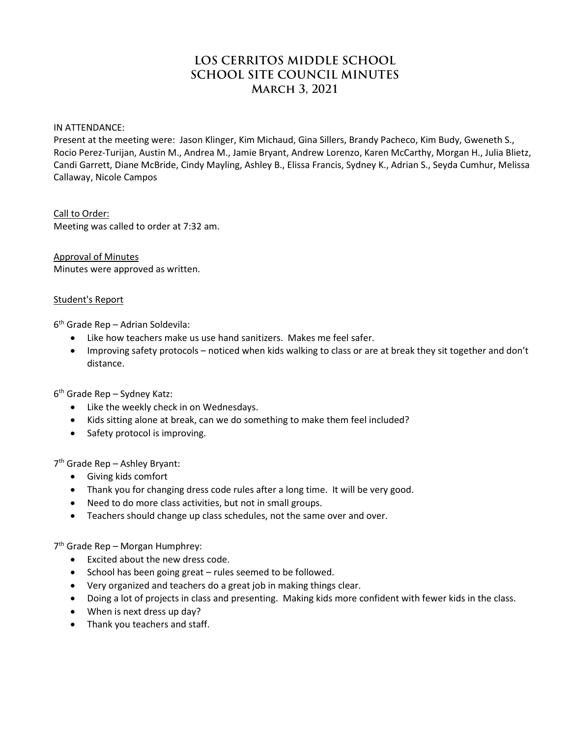# **LOS CERRITOS MIDDLE SCHOOL SCHOOL SITE COUNCIL MINUTES March 3, 2021**

IN ATTENDANCE:

Present at the meeting were: Jason Klinger, Kim Michaud, Gina Sillers, Brandy Pacheco, Kim Budy, Gweneth S., Rocio Perez-Turijan, Austin M., Andrea M., Jamie Bryant, Andrew Lorenzo, Karen McCarthy, Morgan H., Julia Blietz, Candi Garrett, Diane McBride, Cindy Mayling, Ashley B., Elissa Francis, Sydney K., Adrian S., Seyda Cumhur, Melissa Callaway, Nicole Campos

Call to Order: Meeting was called to order at 7:32 am.

Approval of Minutes Minutes were approved as written.

#### Student's Report

6th Grade Rep – Adrian Soldevila:

- Like how teachers make us use hand sanitizers. Makes me feel safer.
- Improving safety protocols noticed when kids walking to class or are at break they sit together and don't distance.

6th Grade Rep – Sydney Katz:

- Like the weekly check in on Wednesdays.
- Kids sitting alone at break, can we do something to make them feel included?
- Safety protocol is improving.

7th Grade Rep – Ashley Bryant:

- Giving kids comfort
- Thank you for changing dress code rules after a long time. It will be very good.
- Need to do more class activities, but not in small groups.
- Teachers should change up class schedules, not the same over and over.

7th Grade Rep – Morgan Humphrey:

- Excited about the new dress code.
- School has been going great rules seemed to be followed.
- Very organized and teachers do a great job in making things clear.
- Doing a lot of projects in class and presenting. Making kids more confident with fewer kids in the class.
- When is next dress up day?
- Thank you teachers and staff.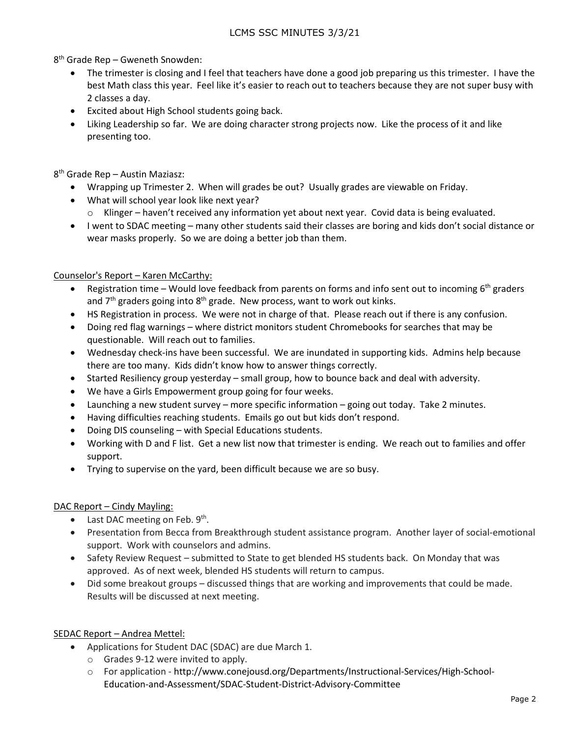8th Grade Rep – Gweneth Snowden:

- The trimester is closing and I feel that teachers have done a good job preparing us this trimester. I have the best Math class this year. Feel like it's easier to reach out to teachers because they are not super busy with 2 classes a day.
- Excited about High School students going back.
- Liking Leadership so far. We are doing character strong projects now. Like the process of it and like presenting too.

8th Grade Rep – Austin Maziasz:

- Wrapping up Trimester 2. When will grades be out? Usually grades are viewable on Friday.
- What will school year look like next year? o Klinger – haven't received any information yet about next year. Covid data is being evaluated.
- I went to SDAC meeting many other students said their classes are boring and kids don't social distance or wear masks properly. So we are doing a better job than them.

#### Counselor's Report – Karen McCarthy:

- Registration time Would love feedback from parents on forms and info sent out to incoming  $6<sup>th</sup>$  graders and  $7<sup>th</sup>$  graders going into  $8<sup>th</sup>$  grade. New process, want to work out kinks.
- HS Registration in process. We were not in charge of that. Please reach out if there is any confusion.
- Doing red flag warnings where district monitors student Chromebooks for searches that may be questionable. Will reach out to families.
- Wednesday check-ins have been successful. We are inundated in supporting kids. Admins help because there are too many. Kids didn't know how to answer things correctly.
- Started Resiliency group yesterday small group, how to bounce back and deal with adversity.
- We have a Girls Empowerment group going for four weeks.
- Launching a new student survey more specific information going out today. Take 2 minutes.
- Having difficulties reaching students. Emails go out but kids don't respond.
- Doing DIS counseling with Special Educations students.
- Working with D and F list. Get a new list now that trimester is ending. We reach out to families and offer support.
- Trying to supervise on the yard, been difficult because we are so busy.

### DAC Report - Cindy Mayling:

- Last DAC meeting on Feb.  $9<sup>th</sup>$ .
- Presentation from Becca from Breakthrough student assistance program. Another layer of social-emotional support. Work with counselors and admins.
- Safety Review Request submitted to State to get blended HS students back. On Monday that was approved. As of next week, blended HS students will return to campus.
- Did some breakout groups discussed things that are working and improvements that could be made. Results will be discussed at next meeting.

### SEDAC Report – Andrea Mettel:

- Applications for Student DAC (SDAC) are due March 1.
	- o Grades 9-12 were invited to apply.
	- o For application http://www.conejousd.org/Departments/Instructional-Services/High-School-Education-and-Assessment/SDAC-Student-District-Advisory-Committee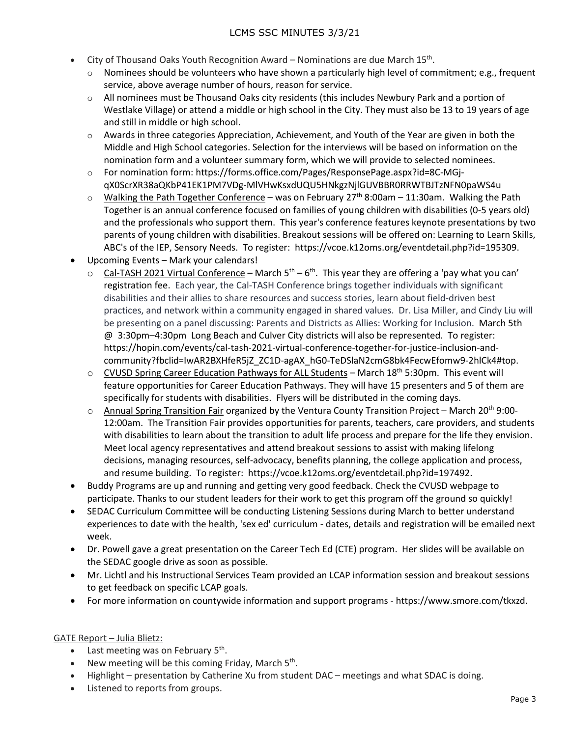- City of Thousand Oaks Youth Recognition Award Nominations are due March  $15^{th}$ .
	- $\circ$  Nominees should be volunteers who have shown a particularly high level of commitment; e.g., frequent service, above average number of hours, reason for service.
	- $\circ$  All nominees must be Thousand Oaks city residents (this includes Newbury Park and a portion of Westlake Village) or attend a middle or high school in the City. They must also be 13 to 19 years of age and still in middle or high school.
	- $\circ$  Awards in three categories Appreciation, Achievement, and Youth of the Year are given in both the Middle and High School categories. Selection for the interviews will be based on information on the nomination form and a volunteer summary form, which we will provide to selected nominees.
	- o For nomination form: https://forms.office.com/Pages/ResponsePage.aspx?id=8C-MGjqX0ScrXR38aQKbP41EK1PM7VDg-MlVHwKsxdUQU5HNkgzNjlGUVBBR0RRWTBJTzNFN0paWS4u
	- $\circ$  Walking the Path Together Conference was on February 27<sup>th</sup> 8:00am 11:30am. Walking the Path Together is an annual conference focused on families of young children with disabilities (0-5 years old) and the professionals who support them. This year's conference features keynote presentations by two parents of young children with disabilities. Breakout sessions will be offered on: Learning to Learn Skills, ABC's of the IEP, Sensory Needs. To register: https://vcoe.k12oms.org/eventdetail.php?id=195309.
- Upcoming Events Mark your calendars!
	- $\circ$  Cal-TASH 2021 Virtual Conference March 5<sup>th</sup> 6<sup>th</sup>. This year they are offering a 'pay what you can' registration fee. Each year, the Cal-TASH Conference brings together individuals with significant disabilities and their allies to share resources and success stories, learn about field-driven best practices, and network within a community engaged in shared values. Dr. Lisa Miller, and Cindy Liu will be presenting on a panel discussing: Parents and Districts as Allies: Working for Inclusion. March 5th @ 3:30pm–4:30pm Long Beach and Culver City districts will also be represented. To register: https://hopin.com/events/cal-tash-2021-virtual-conference-together-for-justice-inclusion-andcommunity?fbclid=IwAR2BXHfeR5jZ\_ZC1D-agAX\_hG0-TeDSlaN2cmG8bk4FecwEfomw9-2hlCk4#top.
	- $\circ$  CVUSD Spring Career Education Pathways for ALL Students March 18th 5:30pm. This event will feature opportunities for Career Education Pathways. They will have 15 presenters and 5 of them are specifically for students with disabilities. Flyers will be distributed in the coming days.
	- $\circ$  Annual Spring Transition Fair organized by the Ventura County Transition Project March 20<sup>th</sup> 9:00-12:00am. The Transition Fair provides opportunities for parents, teachers, care providers, and students with disabilities to learn about the transition to adult life process and prepare for the life they envision. Meet local agency representatives and attend breakout sessions to assist with making lifelong decisions, managing resources, self-advocacy, benefits planning, the college application and process, and resume building. To register: https://vcoe.k12oms.org/eventdetail.php?id=197492.
- Buddy Programs are up and running and getting very good feedback. Check the CVUSD webpage to participate. Thanks to our student leaders for their work to get this program off the ground so quickly!
- SEDAC Curriculum Committee will be conducting Listening Sessions during March to better understand experiences to date with the health, 'sex ed' curriculum - dates, details and registration will be emailed next week.
- Dr. Powell gave a great presentation on the Career Tech Ed (CTE) program. Her slides will be available on the SEDAC google drive as soon as possible.
- Mr. Lichtl and his Instructional Services Team provided an LCAP information session and breakout sessions to get feedback on specific LCAP goals.
- For more information on countywide information and support programs https://www.smore.com/tkxzd.

# GATE Report – Julia Blietz:

- Last meeting was on February  $5<sup>th</sup>$ .
- New meeting will be this coming Friday, March  $5<sup>th</sup>$ .
- Highlight presentation by Catherine Xu from student DAC meetings and what SDAC is doing.
- Listened to reports from groups.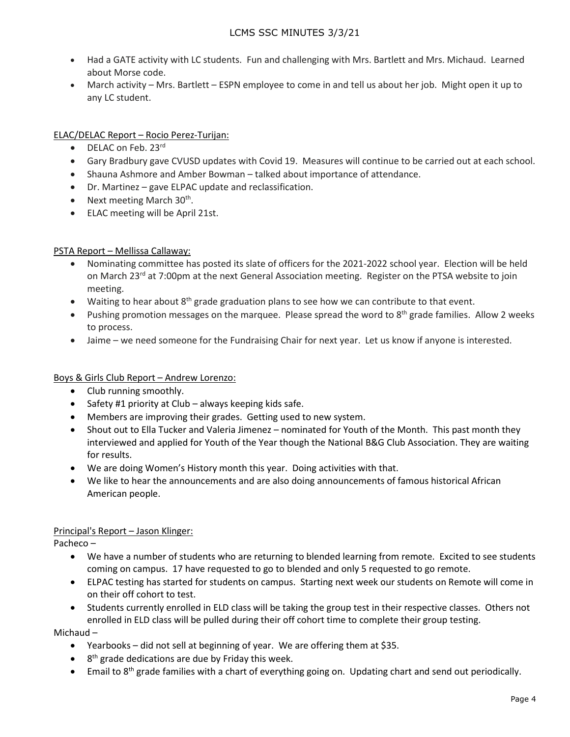- Had a GATE activity with LC students. Fun and challenging with Mrs. Bartlett and Mrs. Michaud. Learned about Morse code.
- March activity Mrs. Bartlett ESPN employee to come in and tell us about her job. Might open it up to any LC student.

## ELAC/DELAC Report – Rocio Perez-Turijan:

- DELAC on Feb. 23rd
- Gary Bradbury gave CVUSD updates with Covid 19. Measures will continue to be carried out at each school.
- Shauna Ashmore and Amber Bowman talked about importance of attendance.
- Dr. Martinez gave ELPAC update and reclassification.
- Next meeting March  $30<sup>th</sup>$ .
- ELAC meeting will be April 21st.

### PSTA Report – Mellissa Callaway:

- Nominating committee has posted its slate of officers for the 2021-2022 school year. Election will be held on March 23<sup>rd</sup> at 7:00pm at the next General Association meeting. Register on the PTSA website to join meeting.
- Waiting to hear about 8<sup>th</sup> grade graduation plans to see how we can contribute to that event.
- Pushing promotion messages on the marquee. Please spread the word to  $8<sup>th</sup>$  grade families. Allow 2 weeks to process.
- Jaime we need someone for the Fundraising Chair for next year. Let us know if anyone is interested.

### Boys & Girls Club Report – Andrew Lorenzo:

- Club running smoothly.
- Safety #1 priority at Club always keeping kids safe.
- Members are improving their grades. Getting used to new system.
- Shout out to Ella Tucker and Valeria Jimenez nominated for Youth of the Month. This past month they interviewed and applied for Youth of the Year though the National B&G Club Association. They are waiting for results.
- We are doing Women's History month this year. Doing activities with that.
- We like to hear the announcements and are also doing announcements of famous historical African American people.

### Principal's Report – Jason Klinger:

Pacheco –

- We have a number of students who are returning to blended learning from remote. Excited to see students coming on campus. 17 have requested to go to blended and only 5 requested to go remote.
- ELPAC testing has started for students on campus. Starting next week our students on Remote will come in on their off cohort to test.
- Students currently enrolled in ELD class will be taking the group test in their respective classes. Others not enrolled in ELD class will be pulled during their off cohort time to complete their group testing.

Michaud –

- Yearbooks did not sell at beginning of year. We are offering them at \$35.
- $\bullet$  8<sup>th</sup> grade dedications are due by Friday this week.
- Email to 8<sup>th</sup> grade families with a chart of everything going on. Updating chart and send out periodically.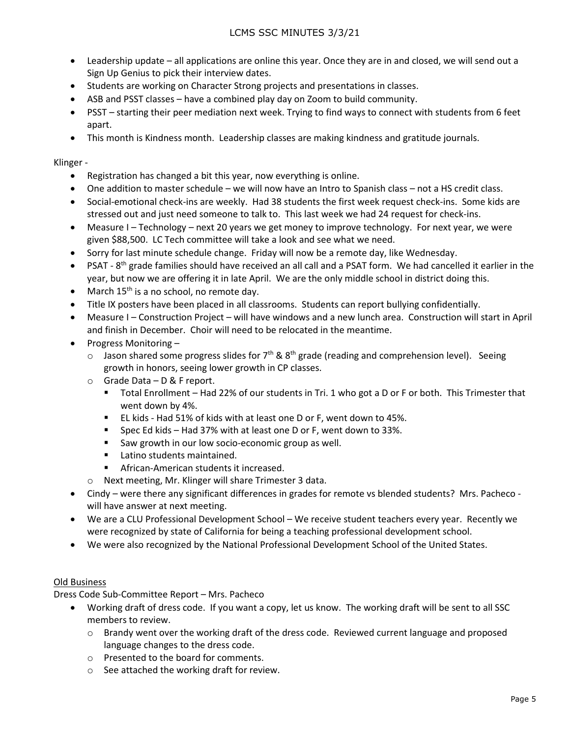- Leadership update all applications are online this year. Once they are in and closed, we will send out a Sign Up Genius to pick their interview dates.
- Students are working on Character Strong projects and presentations in classes.
- ASB and PSST classes have a combined play day on Zoom to build community.
- PSST starting their peer mediation next week. Trying to find ways to connect with students from 6 feet apart.
- This month is Kindness month. Leadership classes are making kindness and gratitude journals.

#### Klinger -

- Registration has changed a bit this year, now everything is online.
- One addition to master schedule we will now have an Intro to Spanish class not a HS credit class.
- Social-emotional check-ins are weekly. Had 38 students the first week request check-ins. Some kids are stressed out and just need someone to talk to. This last week we had 24 request for check-ins.
- Measure I Technology next 20 years we get money to improve technology. For next year, we were given \$88,500. LC Tech committee will take a look and see what we need.
- Sorry for last minute schedule change. Friday will now be a remote day, like Wednesday.
- PSAT 8<sup>th</sup> grade families should have received an all call and a PSAT form. We had cancelled it earlier in the year, but now we are offering it in late April. We are the only middle school in district doing this.
- March  $15<sup>th</sup>$  is a no school, no remote day.
- Title IX posters have been placed in all classrooms. Students can report bullying confidentially.
- Measure I Construction Project will have windows and a new lunch area. Construction will start in April and finish in December. Choir will need to be relocated in the meantime.
- Progress Monitoring
	- $\circ$  Jason shared some progress slides for 7<sup>th</sup> & 8<sup>th</sup> grade (reading and comprehension level). Seeing growth in honors, seeing lower growth in CP classes.
	- o Grade Data D & F report.
		- Total Enrollment Had 22% of our students in Tri. 1 who got a D or F or both. This Trimester that went down by 4%.
		- EL kids Had 51% of kids with at least one D or F, went down to 45%.
		- Spec Ed kids Had 37% with at least one D or F, went down to 33%.
		- Saw growth in our low socio-economic group as well.
		- **Latino students maintained.**
		- African-American students it increased.
	- o Next meeting, Mr. Klinger will share Trimester 3 data.
- Cindy were there any significant differences in grades for remote vs blended students? Mrs. Pacheco will have answer at next meeting.
- We are a CLU Professional Development School We receive student teachers every year. Recently we were recognized by state of California for being a teaching professional development school.
- We were also recognized by the National Professional Development School of the United States.

#### Old Business

Dress Code Sub-Committee Report – Mrs. Pacheco

- Working draft of dress code. If you want a copy, let us know. The working draft will be sent to all SSC members to review.
	- o Brandy went over the working draft of the dress code. Reviewed current language and proposed language changes to the dress code.
	- o Presented to the board for comments.
	- o See attached the working draft for review.